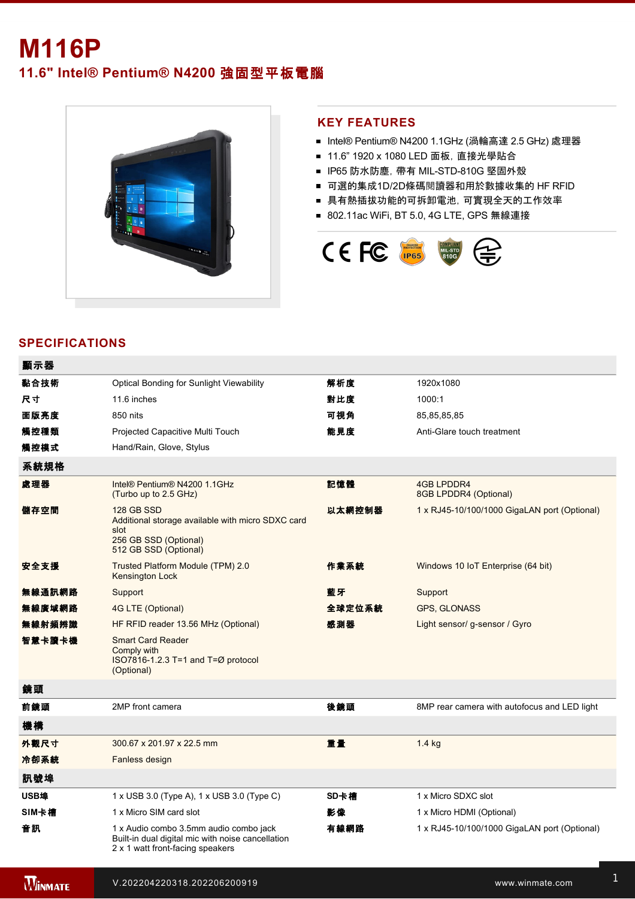# **M116P**

**11.6" Intel® Pentium® N4200** 強固型平板電腦



#### **KEY FEATURES**

- Intel® Pentium® N4200 1.1GHz (渦輪高達 2.5 GHz) 處理器
- 11.6" 1920 x 1080 LED 面板, 直接光學貼合
- IP65 防水防塵, 帶有 MIL-STD-810G 堅固外殼
- 可選的集成1D/2D條碼閱讀器和用於數據收集的 HF RFID
- 具有熱插拔功能的可拆卸電池,可實現全天的工作效率
- 802.11ac WiFi, BT 5.0, 4G LTE, GPS 無線連接



# **SPECIFICATIONS**

| 顯示器    |                                                                                                                                 |        |                                              |
|--------|---------------------------------------------------------------------------------------------------------------------------------|--------|----------------------------------------------|
| 黏合技術   | Optical Bonding for Sunlight Viewability                                                                                        | 解析度    | 1920x1080                                    |
| 尺寸     | 11.6 inches                                                                                                                     | 對比度    | 1000:1                                       |
| 面版亮度   | 850 nits                                                                                                                        | 可視角    | 85,85,85,85                                  |
| 觸控種類   | Projected Capacitive Multi Touch                                                                                                | 能見度    | Anti-Glare touch treatment                   |
| 觸控模式   | Hand/Rain, Glove, Stylus                                                                                                        |        |                                              |
| 系統規格   |                                                                                                                                 |        |                                              |
| 處理器    | Intel® Pentium® N4200 1.1GHz<br>(Turbo up to 2.5 GHz)                                                                           | 記憶體    | <b>4GB LPDDR4</b><br>8GB LPDDR4 (Optional)   |
| 儲存空間   | 128 GB SSD<br>Additional storage available with micro SDXC card<br>slot<br>256 GB SSD (Optional)<br>512 GB SSD (Optional)       | 以太網控制器 | 1 x RJ45-10/100/1000 GigaLAN port (Optional) |
| 安全支援   | Trusted Platform Module (TPM) 2.0<br>Kensington Lock                                                                            | 作業系統   | Windows 10 IoT Enterprise (64 bit)           |
| 無線通訊網路 | Support                                                                                                                         | 藍牙     | Support                                      |
| 無線廣域網路 | 4G LTE (Optional)                                                                                                               | 全球定位系統 | <b>GPS, GLONASS</b>                          |
| 無線射頻辨識 | HF RFID reader 13.56 MHz (Optional)                                                                                             | 感測器    | Light sensor/ g-sensor / Gyro                |
| 智慧卡讀卡機 | <b>Smart Card Reader</b><br>Comply with<br>$ISO7816-1.2.3 T=1$ and $T=\emptyset$ protocol<br>(Optional)                         |        |                                              |
| 鏡頭     |                                                                                                                                 |        |                                              |
| 前鏡頭    | 2MP front camera                                                                                                                | 後鏡頭    | 8MP rear camera with autofocus and LED light |
| 機構     |                                                                                                                                 |        |                                              |
| 外觀尺寸   | 300.67 x 201.97 x 22.5 mm                                                                                                       | 重量     | 1.4 kg                                       |
| 冷卻系統   | Fanless design                                                                                                                  |        |                                              |
| 訊號埠    |                                                                                                                                 |        |                                              |
| USB埠   | 1 x USB 3.0 (Type A), 1 x USB 3.0 (Type C)                                                                                      | SD卡槽   | 1 x Micro SDXC slot                          |
| SIM卡槽  | 1 x Micro SIM card slot                                                                                                         | 影像     | 1 x Micro HDMI (Optional)                    |
| 音訊     | 1 x Audio combo 3.5mm audio combo jack<br>Built-in dual digital mic with noise cancellation<br>2 x 1 watt front-facing speakers | 有線網路   | 1 x RJ45-10/100/1000 GigaLAN port (Optional) |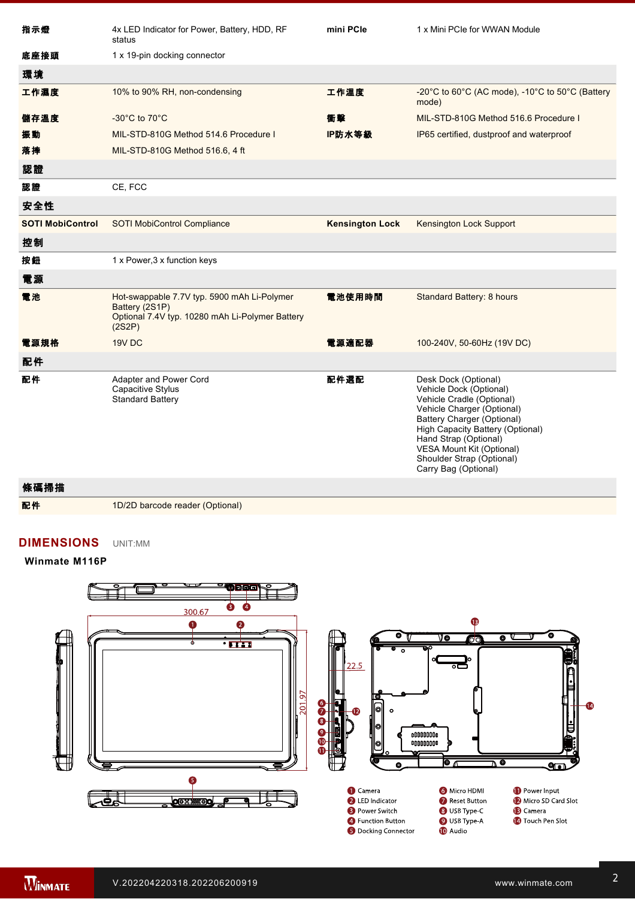| 指示燈                     | 4x LED Indicator for Power, Battery, HDD, RF<br>status                                                                     | mini PCIe              | 1 x Mini PCIe for WWAN Module                                                                                                                                                                                                                                                           |
|-------------------------|----------------------------------------------------------------------------------------------------------------------------|------------------------|-----------------------------------------------------------------------------------------------------------------------------------------------------------------------------------------------------------------------------------------------------------------------------------------|
| 底座接頭                    | 1 x 19-pin docking connector                                                                                               |                        |                                                                                                                                                                                                                                                                                         |
| 環境                      |                                                                                                                            |                        |                                                                                                                                                                                                                                                                                         |
| 工作濕度                    | 10% to 90% RH, non-condensing                                                                                              | 工作溫度                   | -20°C to 60°C (AC mode), -10°C to 50°C (Battery<br>mode)                                                                                                                                                                                                                                |
| 儲存溫度                    | -30 $^{\circ}$ C to 70 $^{\circ}$ C                                                                                        | 衝擊                     | MIL-STD-810G Method 516.6 Procedure I                                                                                                                                                                                                                                                   |
| 振動                      | MIL-STD-810G Method 514.6 Procedure I                                                                                      | IP防水等級                 | IP65 certified, dustproof and waterproof                                                                                                                                                                                                                                                |
| 落摔                      | MIL-STD-810G Method 516.6, 4 ft                                                                                            |                        |                                                                                                                                                                                                                                                                                         |
| 認證                      |                                                                                                                            |                        |                                                                                                                                                                                                                                                                                         |
| 認證                      | CE, FCC                                                                                                                    |                        |                                                                                                                                                                                                                                                                                         |
| 安全性                     |                                                                                                                            |                        |                                                                                                                                                                                                                                                                                         |
| <b>SOTI MobiControl</b> | <b>SOTI MobiControl Compliance</b>                                                                                         | <b>Kensington Lock</b> | Kensington Lock Support                                                                                                                                                                                                                                                                 |
| 控制                      |                                                                                                                            |                        |                                                                                                                                                                                                                                                                                         |
| 按鈕                      | 1 x Power, 3 x function keys                                                                                               |                        |                                                                                                                                                                                                                                                                                         |
| 電源                      |                                                                                                                            |                        |                                                                                                                                                                                                                                                                                         |
| 電池                      | Hot-swappable 7.7V typ. 5900 mAh Li-Polymer<br>Battery (2S1P)<br>Optional 7.4V typ. 10280 mAh Li-Polymer Battery<br>(2S2P) | 電池使用時間                 | Standard Battery: 8 hours                                                                                                                                                                                                                                                               |
| 電源規格                    | 19V DC                                                                                                                     | 電源適配器                  | 100-240V, 50-60Hz (19V DC)                                                                                                                                                                                                                                                              |
| 配件                      |                                                                                                                            |                        |                                                                                                                                                                                                                                                                                         |
| 配件                      | Adapter and Power Cord<br>Capacitive Stylus<br><b>Standard Battery</b>                                                     | 配件選配                   | Desk Dock (Optional)<br>Vehicle Dock (Optional)<br>Vehicle Cradle (Optional)<br>Vehicle Charger (Optional)<br>Battery Charger (Optional)<br>High Capacity Battery (Optional)<br>Hand Strap (Optional)<br>VESA Mount Kit (Optional)<br>Shoulder Strap (Optional)<br>Carry Bag (Optional) |

Builtin dual digital mic with noise cancellation

條碼掃描

配件 1D/2D barcode reader (Optional)

### **DIMENSIONS**  UNIT:MM

#### **Winmate M116P**



**NOTE**